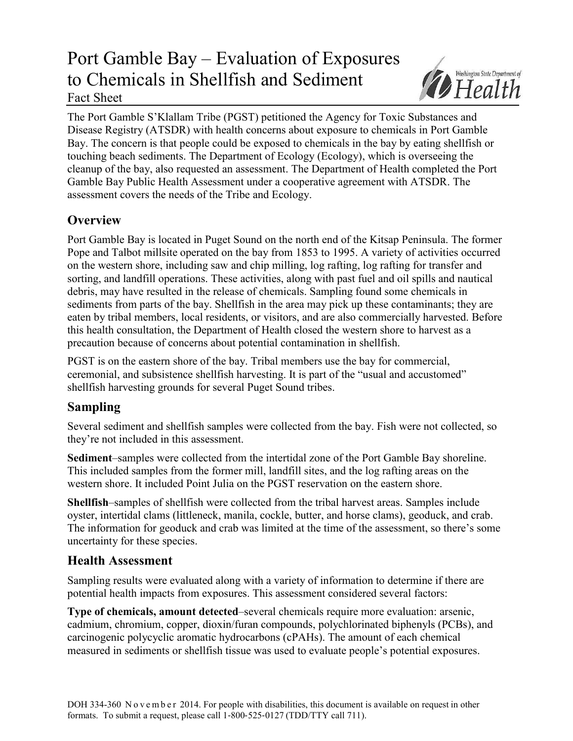# Port Gamble Bay – Evaluation of Exposures to Chemicals in Shellfish and Sediment Fact Sheet



The Port Gamble S'Klallam Tribe (PGST) petitioned the Agency for Toxic Substances and Disease Registry (ATSDR) with health concerns about exposure to chemicals in Port Gamble Bay. The concern is that people could be exposed to chemicals in the bay by eating shellfish or touching beach sediments. The Department of Ecology (Ecology), which is overseeing the cleanup of the bay, also requested an assessment. The Department of Health completed the Port Gamble Bay Public Health Assessment under a cooperative agreement with ATSDR. The assessment covers the needs of the Tribe and Ecology.

# **Overview**

Port Gamble Bay is located in Puget Sound on the north end of the Kitsap Peninsula. The former Pope and Talbot millsite operated on the bay from 1853 to 1995. A variety of activities occurred on the western shore, including saw and chip milling, log rafting, log rafting for transfer and sorting, and landfill operations. These activities, along with past fuel and oil spills and nautical debris, may have resulted in the release of chemicals. Sampling found some chemicals in sediments from parts of the bay. Shellfish in the area may pick up these contaminants; they are eaten by tribal members, local residents, or visitors, and are also commercially harvested. Before this health consultation, the Department of Health closed the western shore to harvest as a precaution because of concerns about potential contamination in shellfish.

PGST is on the eastern shore of the bay. Tribal members use the bay for commercial, ceremonial, and subsistence shellfish harvesting. It is part of the "usual and accustomed" shellfish harvesting grounds for several Puget Sound tribes.

# **Sampling**

Several sediment and shellfish samples were collected from the bay. Fish were not collected, so they're not included in this assessment.

**Sediment**–samples were collected from the intertidal zone of the Port Gamble Bay shoreline. This included samples from the former mill, landfill sites, and the log rafting areas on the western shore. It included Point Julia on the PGST reservation on the eastern shore.

**Shellfish**–samples of shellfish were collected from the tribal harvest areas. Samples include oyster, intertidal clams (littleneck, manila, cockle, butter, and horse clams), geoduck, and crab. The information for geoduck and crab was limited at the time of the assessment, so there's some uncertainty for these species.

### **Health Assessment**

Sampling results were evaluated along with a variety of information to determine if there are potential health impacts from exposures. This assessment considered several factors:

**Type of chemicals, amount detected**–several chemicals require more evaluation: arsenic, cadmium, chromium, copper, dioxin/furan compounds, polychlorinated biphenyls (PCBs), and carcinogenic polycyclic aromatic hydrocarbons (cPAHs). The amount of each chemical measured in sediments or shellfish tissue was used to evaluate people's potential exposures.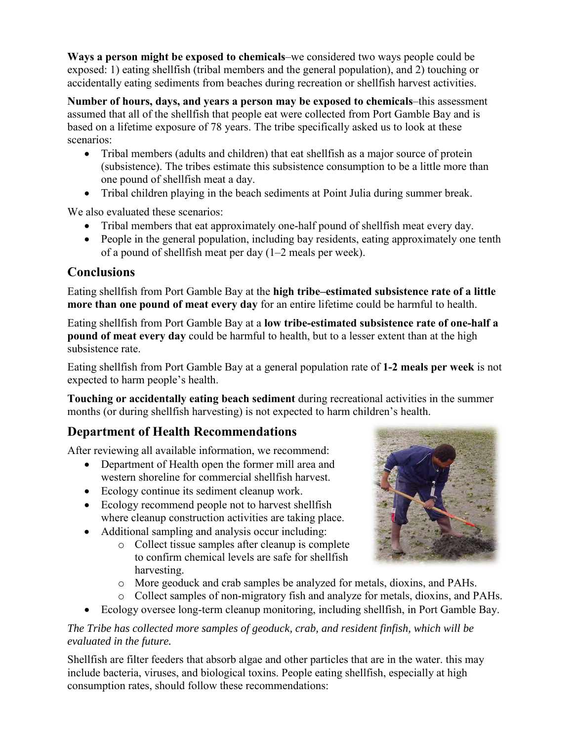**Ways a person might be exposed to chemicals**–we considered two ways people could be exposed: 1) eating shellfish (tribal members and the general population), and 2) touching or accidentally eating sediments from beaches during recreation or shellfish harvest activities.

**Number of hours, days, and years a person may be exposed to chemicals**–this assessment assumed that all of the shellfish that people eat were collected from Port Gamble Bay and is based on a lifetime exposure of 78 years. The tribe specifically asked us to look at these scenarios:

- Tribal members (adults and children) that eat shellfish as a major source of protein (subsistence). The tribes estimate this subsistence consumption to be a little more than one pound of shellfish meat a day.
- Tribal children playing in the beach sediments at Point Julia during summer break.

We also evaluated these scenarios:

- Tribal members that eat approximately one-half pound of shellfish meat every day.
- People in the general population, including bay residents, eating approximately one tenth of a pound of shellfish meat per day (1–2 meals per week).

### **Conclusions**

Eating shellfish from Port Gamble Bay at the **high tribe–estimated subsistence rate of a little more than one pound of meat every day** for an entire lifetime could be harmful to health.

Eating shellfish from Port Gamble Bay at a **low tribe-estimated subsistence rate of one-half a pound of meat every day** could be harmful to health, but to a lesser extent than at the high subsistence rate.

Eating shellfish from Port Gamble Bay at a general population rate of **1-2 meals per week** is not expected to harm people's health.

**Touching or accidentally eating beach sediment** during recreational activities in the summer months (or during shellfish harvesting) is not expected to harm children's health.

# **Department of Health Recommendations**

After reviewing all available information, we recommend:

- Department of Health open the former mill area and western shoreline for commercial shellfish harvest.
- Ecology continue its sediment cleanup work.
- Ecology recommend people not to harvest shellfish where cleanup construction activities are taking place.
- Additional sampling and analysis occur including:
	- o Collect tissue samples after cleanup is complete to confirm chemical levels are safe for shellfish harvesting.
	- o More geoduck and crab samples be analyzed for metals, dioxins, and PAHs.
	- o Collect samples of non-migratory fish and analyze for metals, dioxins, and PAHs.
- Ecology oversee long-term cleanup monitoring, including shellfish, in Port Gamble Bay.

#### *The Tribe has collected more samples of geoduck, crab, and resident finfish, which will be evaluated in the future.*

Shellfish are filter feeders that absorb algae and other particles that are in the water. this may include bacteria, viruses, and biological toxins. People eating shellfish, especially at high consumption rates, should follow these recommendations: